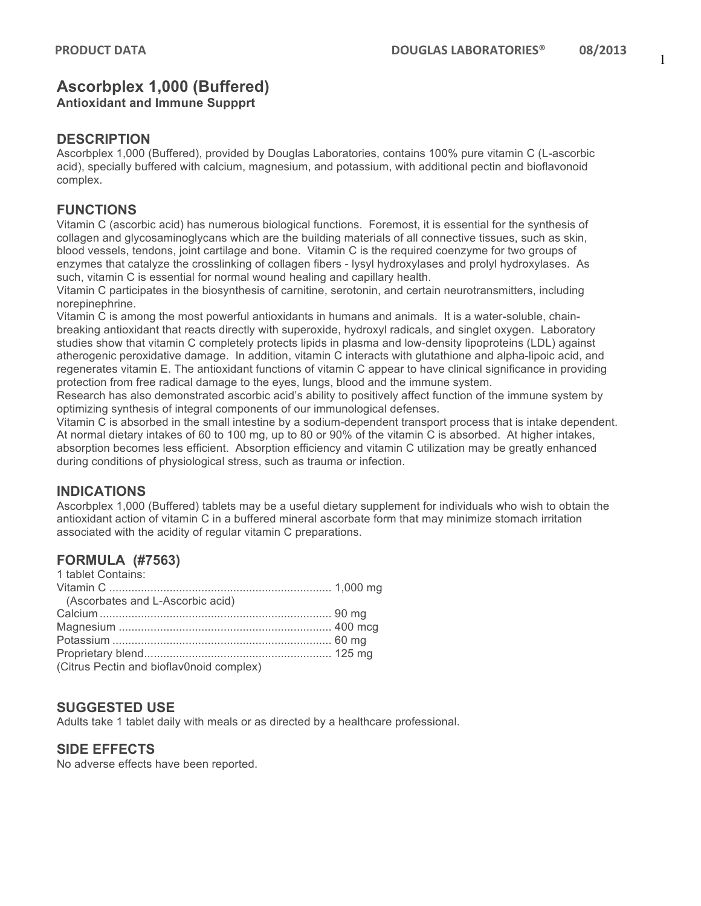# **Ascorbplex 1,000 (Buffered)**

**Antioxidant and Immune Suppprt**

#### **DESCRIPTION**

Ascorbplex 1,000 (Buffered), provided by Douglas Laboratories, contains 100% pure vitamin C (L-ascorbic acid), specially buffered with calcium, magnesium, and potassium, with additional pectin and bioflavonoid complex.

#### **FUNCTIONS**

Vitamin C (ascorbic acid) has numerous biological functions. Foremost, it is essential for the synthesis of collagen and glycosaminoglycans which are the building materials of all connective tissues, such as skin, blood vessels, tendons, joint cartilage and bone. Vitamin C is the required coenzyme for two groups of enzymes that catalyze the crosslinking of collagen fibers - lysyl hydroxylases and prolyl hydroxylases. As such, vitamin C is essential for normal wound healing and capillary health.

Vitamin C participates in the biosynthesis of carnitine, serotonin, and certain neurotransmitters, including norepinephrine.

Vitamin C is among the most powerful antioxidants in humans and animals. It is a water-soluble, chainbreaking antioxidant that reacts directly with superoxide, hydroxyl radicals, and singlet oxygen. Laboratory studies show that vitamin C completely protects lipids in plasma and low-density lipoproteins (LDL) against atherogenic peroxidative damage. In addition, vitamin C interacts with glutathione and alpha-lipoic acid, and regenerates vitamin E. The antioxidant functions of vitamin C appear to have clinical significance in providing protection from free radical damage to the eyes, lungs, blood and the immune system.

Research has also demonstrated ascorbic acid's ability to positively affect function of the immune system by optimizing synthesis of integral components of our immunological defenses.

Vitamin C is absorbed in the small intestine by a sodium-dependent transport process that is intake dependent. At normal dietary intakes of 60 to 100 mg, up to 80 or 90% of the vitamin C is absorbed. At higher intakes, absorption becomes less efficient. Absorption efficiency and vitamin C utilization may be greatly enhanced during conditions of physiological stress, such as trauma or infection.

### **INDICATIONS**

Ascorbplex 1,000 (Buffered) tablets may be a useful dietary supplement for individuals who wish to obtain the antioxidant action of vitamin C in a buffered mineral ascorbate form that may minimize stomach irritation associated with the acidity of regular vitamin C preparations.

# **FORMULA (#7563)**

| 1 tablet Contains:                       |  |
|------------------------------------------|--|
|                                          |  |
| (Ascorbates and L-Ascorbic acid)         |  |
|                                          |  |
|                                          |  |
|                                          |  |
|                                          |  |
| (Citrus Pectin and bioflav0noid complex) |  |

### **SUGGESTED USE**

Adults take 1 tablet daily with meals or as directed by a healthcare professional.

### **SIDE EFFECTS**

No adverse effects have been reported.

1